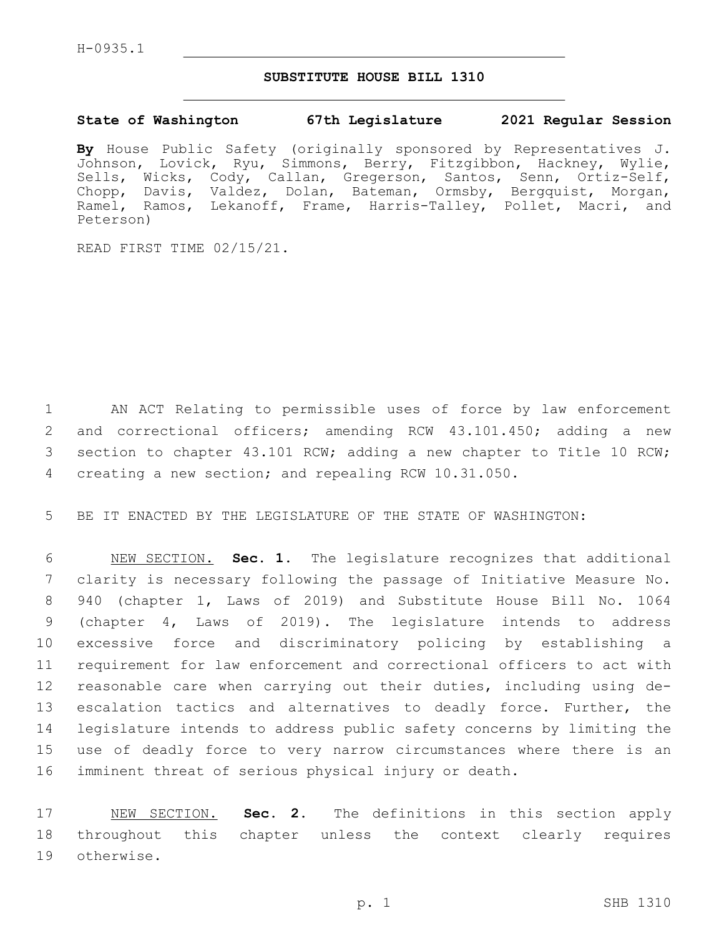## **SUBSTITUTE HOUSE BILL 1310**

## **State of Washington 67th Legislature 2021 Regular Session**

**By** House Public Safety (originally sponsored by Representatives J. Johnson, Lovick, Ryu, Simmons, Berry, Fitzgibbon, Hackney, Wylie, Sells, Wicks, Cody, Callan, Gregerson, Santos, Senn, Ortiz-Self, Chopp, Davis, Valdez, Dolan, Bateman, Ormsby, Bergquist, Morgan, Ramel, Ramos, Lekanoff, Frame, Harris-Talley, Pollet, Macri, and Peterson)

READ FIRST TIME 02/15/21.

 AN ACT Relating to permissible uses of force by law enforcement and correctional officers; amending RCW 43.101.450; adding a new section to chapter 43.101 RCW; adding a new chapter to Title 10 RCW; creating a new section; and repealing RCW 10.31.050.

5 BE IT ENACTED BY THE LEGISLATURE OF THE STATE OF WASHINGTON:

 NEW SECTION. **Sec. 1.** The legislature recognizes that additional clarity is necessary following the passage of Initiative Measure No. 940 (chapter 1, Laws of 2019) and Substitute House Bill No. 1064 (chapter 4, Laws of 2019). The legislature intends to address excessive force and discriminatory policing by establishing a requirement for law enforcement and correctional officers to act with reasonable care when carrying out their duties, including using de-13 escalation tactics and alternatives to deadly force. Further, the legislature intends to address public safety concerns by limiting the use of deadly force to very narrow circumstances where there is an imminent threat of serious physical injury or death.

17 NEW SECTION. **Sec. 2.** The definitions in this section apply 18 throughout this chapter unless the context clearly requires 19 otherwise.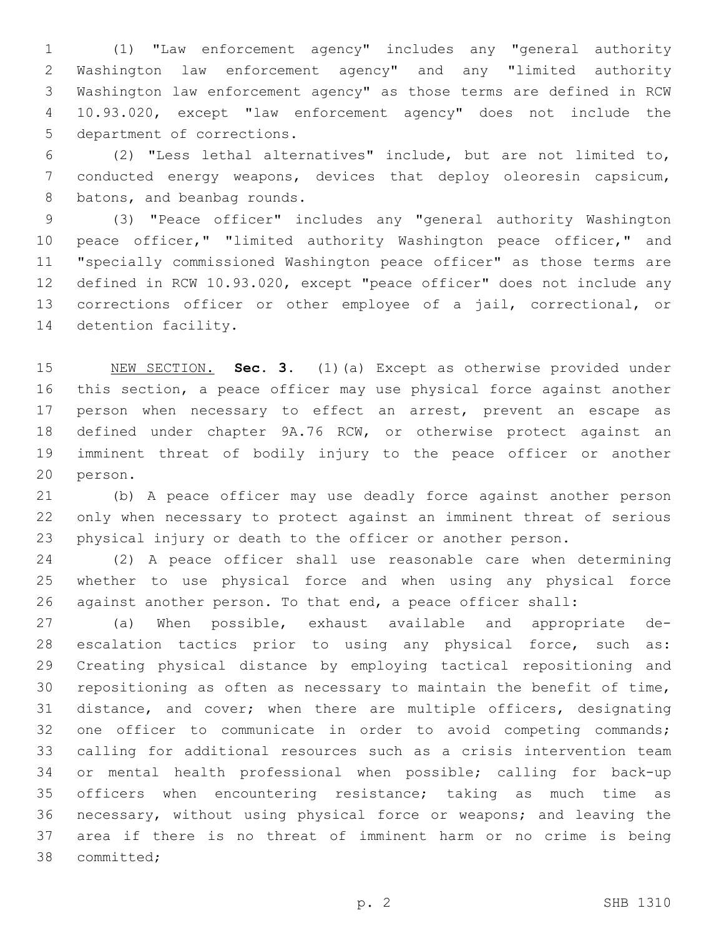(1) "Law enforcement agency" includes any "general authority Washington law enforcement agency" and any "limited authority Washington law enforcement agency" as those terms are defined in RCW 10.93.020, except "law enforcement agency" does not include the 5 department of corrections.

 (2) "Less lethal alternatives" include, but are not limited to, conducted energy weapons, devices that deploy oleoresin capsicum, 8 batons, and beanbag rounds.

 (3) "Peace officer" includes any "general authority Washington 10 peace officer," "limited authority Washington peace officer," and "specially commissioned Washington peace officer" as those terms are defined in RCW 10.93.020, except "peace officer" does not include any corrections officer or other employee of a jail, correctional, or 14 detention facility.

 NEW SECTION. **Sec. 3.** (1)(a) Except as otherwise provided under this section, a peace officer may use physical force against another 17 person when necessary to effect an arrest, prevent an escape as defined under chapter 9A.76 RCW, or otherwise protect against an imminent threat of bodily injury to the peace officer or another person.

 (b) A peace officer may use deadly force against another person only when necessary to protect against an imminent threat of serious physical injury or death to the officer or another person.

 (2) A peace officer shall use reasonable care when determining whether to use physical force and when using any physical force against another person. To that end, a peace officer shall:

 (a) When possible, exhaust available and appropriate de- escalation tactics prior to using any physical force, such as: Creating physical distance by employing tactical repositioning and repositioning as often as necessary to maintain the benefit of time, distance, and cover; when there are multiple officers, designating one officer to communicate in order to avoid competing commands; calling for additional resources such as a crisis intervention team or mental health professional when possible; calling for back-up officers when encountering resistance; taking as much time as necessary, without using physical force or weapons; and leaving the area if there is no threat of imminent harm or no crime is being 38 committed;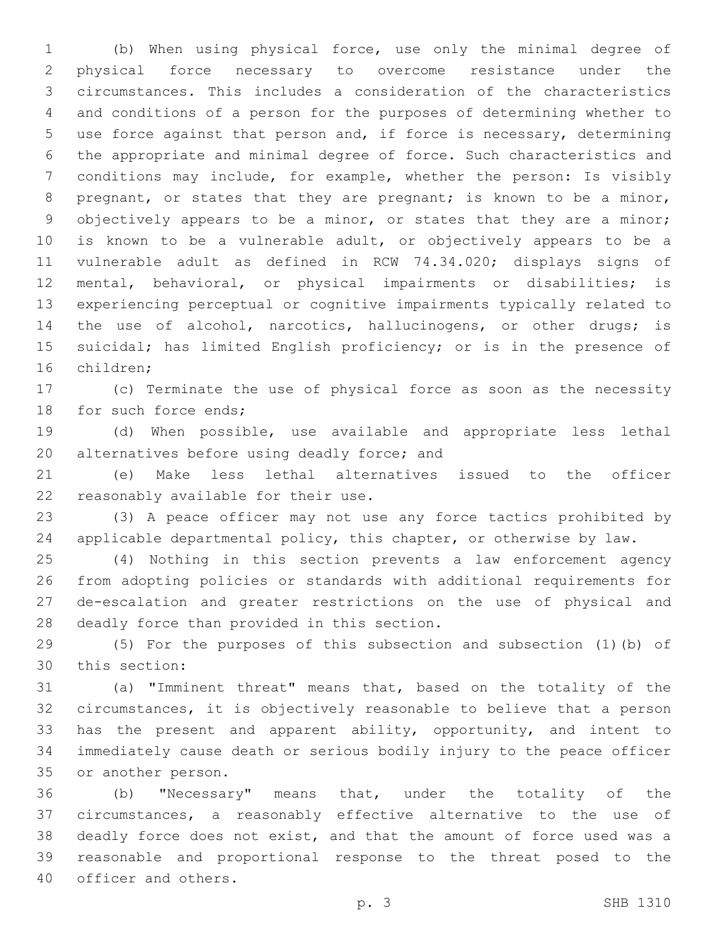(b) When using physical force, use only the minimal degree of physical force necessary to overcome resistance under the circumstances. This includes a consideration of the characteristics and conditions of a person for the purposes of determining whether to use force against that person and, if force is necessary, determining the appropriate and minimal degree of force. Such characteristics and conditions may include, for example, whether the person: Is visibly 8 pregnant, or states that they are pregnant; is known to be a minor, 9 objectively appears to be a minor, or states that they are a minor; is known to be a vulnerable adult, or objectively appears to be a vulnerable adult as defined in RCW 74.34.020; displays signs of mental, behavioral, or physical impairments or disabilities; is experiencing perceptual or cognitive impairments typically related to the use of alcohol, narcotics, hallucinogens, or other drugs; is suicidal; has limited English proficiency; or is in the presence of 16 children:

 (c) Terminate the use of physical force as soon as the necessity 18 for such force ends;

 (d) When possible, use available and appropriate less lethal 20 alternatives before using deadly force; and

 (e) Make less lethal alternatives issued to the officer 22 reasonably available for their use.

 (3) A peace officer may not use any force tactics prohibited by applicable departmental policy, this chapter, or otherwise by law.

 (4) Nothing in this section prevents a law enforcement agency from adopting policies or standards with additional requirements for de-escalation and greater restrictions on the use of physical and 28 deadly force than provided in this section.

 (5) For the purposes of this subsection and subsection (1)(b) of 30 this section:

 (a) "Imminent threat" means that, based on the totality of the circumstances, it is objectively reasonable to believe that a person has the present and apparent ability, opportunity, and intent to immediately cause death or serious bodily injury to the peace officer 35 or another person.

 (b) "Necessary" means that, under the totality of the circumstances, a reasonably effective alternative to the use of deadly force does not exist, and that the amount of force used was a reasonable and proportional response to the threat posed to the 40 officer and others.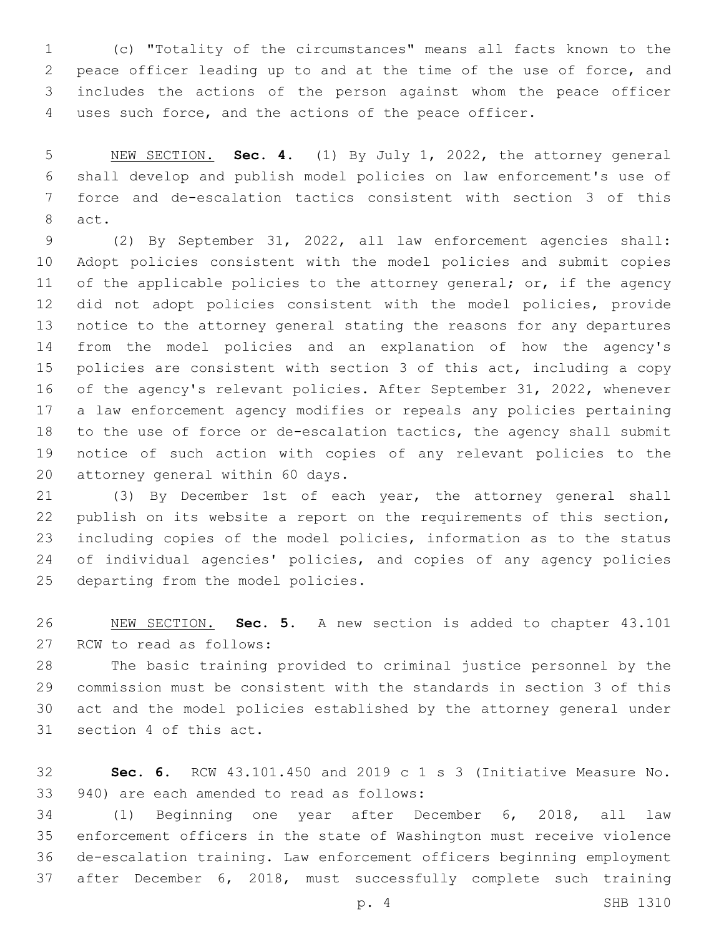(c) "Totality of the circumstances" means all facts known to the peace officer leading up to and at the time of the use of force, and includes the actions of the person against whom the peace officer uses such force, and the actions of the peace officer.

 NEW SECTION. **Sec. 4.** (1) By July 1, 2022, the attorney general shall develop and publish model policies on law enforcement's use of force and de-escalation tactics consistent with section 3 of this act.

 (2) By September 31, 2022, all law enforcement agencies shall: Adopt policies consistent with the model policies and submit copies 11 of the applicable policies to the attorney general; or, if the agency did not adopt policies consistent with the model policies, provide notice to the attorney general stating the reasons for any departures from the model policies and an explanation of how the agency's policies are consistent with section 3 of this act, including a copy of the agency's relevant policies. After September 31, 2022, whenever a law enforcement agency modifies or repeals any policies pertaining to the use of force or de-escalation tactics, the agency shall submit notice of such action with copies of any relevant policies to the 20 attorney general within 60 days.

 (3) By December 1st of each year, the attorney general shall publish on its website a report on the requirements of this section, including copies of the model policies, information as to the status of individual agencies' policies, and copies of any agency policies 25 departing from the model policies.

 NEW SECTION. **Sec. 5.** A new section is added to chapter 43.101 27 RCW to read as follows:

 The basic training provided to criminal justice personnel by the commission must be consistent with the standards in section 3 of this act and the model policies established by the attorney general under 31 section 4 of this act.

 **Sec. 6.** RCW 43.101.450 and 2019 c 1 s 3 (Initiative Measure No. 33 940) are each amended to read as follows:

 (1) Beginning one year after December 6, 2018, all law enforcement officers in the state of Washington must receive violence de-escalation training. Law enforcement officers beginning employment after December 6, 2018, must successfully complete such training

p. 4 SHB 1310